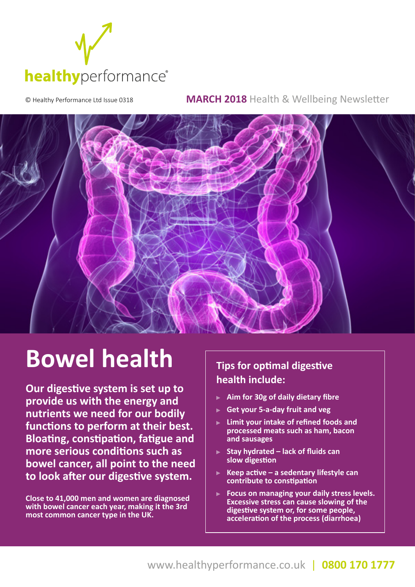

© Healthy Performance Ltd Issue 0318 **MARCH 2018** Health & Wellbeing Newsletter



# **Bowel health**

**Our digestive system is set up to provide us with the energy and nutrients we need for our bodily functions to perform at their best. Bloating, constipation, fatigue and more serious conditions such as bowel cancer, all point to the need to look after our digestive system.**

**Close to 41,000 men and women are diagnosed with bowel cancer each year, making it the 3rd most common cancer type in the UK.**

### **Tips for optimal digestive health include:**

- **Aim for 30g of daily dietary fibre**
- **Get your 5-a-day fruit and veg**
- **Limit your intake of refined foods and processed meats such as ham, bacon and sausages**
- **Stay hydrated lack of fluids can slow digestion**
- **Keep active a sedentary lifestyle can contribute to constipation**
- **Focus on managing your daily stress levels. Excessive stress can cause slowing of the digestive system or, for some people, acceleration of the process (diarrhoea)**